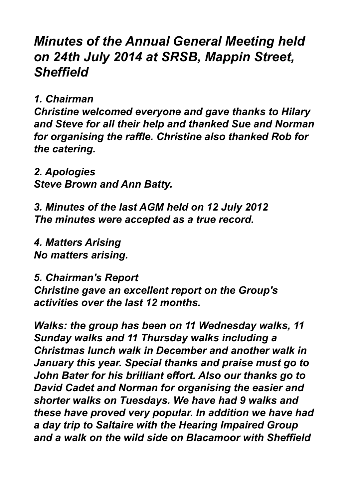## *Minutes of the Annual General Meeting held on 24th July 2014 at SRSB, Mappin Street, Sheffield*

*1. Chairman*

*Christine welcomed everyone and gave thanks to Hilary and Steve for all their help and thanked Sue and Norman for organising the raffle. Christine also thanked Rob for the catering.*

*2. Apologies Steve Brown and Ann Batty.*

*3. Minutes of the last AGM held on 12 July 2012 The minutes were accepted as a true record.*

*4. Matters Arising No matters arising.*

*5. Chairman's Report* 

*Christine gave an excellent report on the Group's activities over the last 12 months.*

*Walks: the group has been on 11 Wednesday walks, 11 Sunday walks and 11 Thursday walks including a Christmas lunch walk in December and another walk in January this year. Special thanks and praise must go to John Bater for his brilliant effort. Also our thanks go to David Cadet and Norman for organising the easier and shorter walks on Tuesdays. We have had 9 walks and these have proved very popular. In addition we have had a day trip to Saltaire with the Hearing Impaired Group and a walk on the wild side on Blacamoor with Sheffield*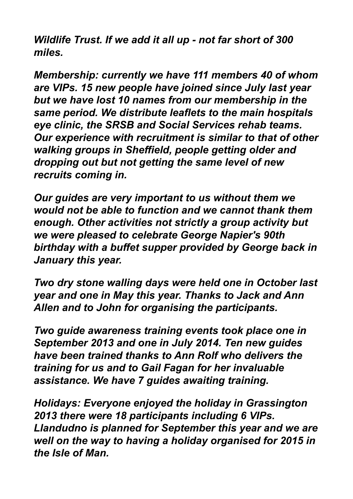*Wildlife Trust. If we add it all up - not far short of 300 miles.*

*Membership: currently we have 111 members 40 of whom are VIPs. 15 new people have joined since July last year but we have lost 10 names from our membership in the same period. We distribute leaflets to the main hospitals eye clinic, the SRSB and Social Services rehab teams. Our experience with recruitment is similar to that of other walking groups in Sheffield, people getting older and dropping out but not getting the same level of new recruits coming in.*

*Our guides are very important to us without them we would not be able to function and we cannot thank them enough. Other activities not strictly a group activity but we were pleased to celebrate George Napier's 90th birthday with a buffet supper provided by George back in January this year.*

*Two dry stone walling days were held one in October last year and one in May this year. Thanks to Jack and Ann Allen and to John for organising the participants.*

*Two guide awareness training events took place one in September 2013 and one in July 2014. Ten new guides have been trained thanks to Ann Rolf who delivers the training for us and to Gail Fagan for her invaluable assistance. We have 7 guides awaiting training.*

*Holidays: Everyone enjoyed the holiday in Grassington 2013 there were 18 participants including 6 VIPs. Llandudno is planned for September this year and we are well on the way to having a holiday organised for 2015 in the Isle of Man.*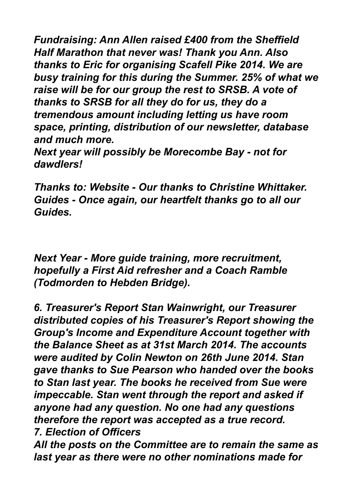*Fundraising: Ann Allen raised £400 from the Sheffield Half Marathon that never was! Thank you Ann. Also thanks to Eric for organising Scafell Pike 2014. We are busy training for this during the Summer. 25% of what we raise will be for our group the rest to SRSB. A vote of thanks to SRSB for all they do for us, they do a tremendous amount including letting us have room space, printing, distribution of our newsletter, database and much more.*

*Next year will possibly be Morecombe Bay - not for dawdlers!*

*Thanks to: Website - Our thanks to Christine Whittaker. Guides - Once again, our heartfelt thanks go to all our Guides.*

*Next Year - More guide training, more recruitment, hopefully a First Aid refresher and a Coach Ramble (Todmorden to Hebden Bridge).*

*6. Treasurer's Report Stan Wainwright, our Treasurer distributed copies of his Treasurer's Report showing the Group's Income and Expenditure Account together with the Balance Sheet as at 31st March 2014. The accounts were audited by Colin Newton on 26th June 2014. Stan gave thanks to Sue Pearson who handed over the books to Stan last year. The books he received from Sue were impeccable. Stan went through the report and asked if anyone had any question. No one had any questions therefore the report was accepted as a true record. 7. Election of Officers* 

*All the posts on the Committee are to remain the same as last year as there were no other nominations made for*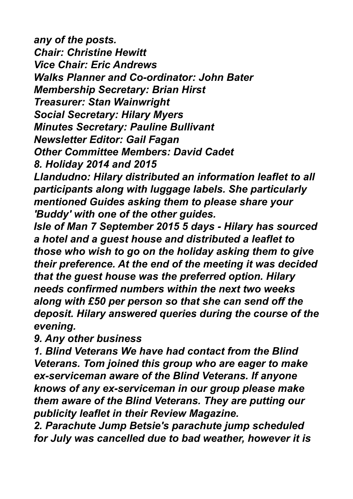*any of the posts. Chair: Christine Hewitt Vice Chair: Eric Andrews Walks Planner and Co-ordinator: John Bater Membership Secretary: Brian Hirst Treasurer: Stan Wainwright Social Secretary: Hilary Myers Minutes Secretary: Pauline Bullivant Newsletter Editor: Gail Fagan Other Committee Members: David Cadet 8. Holiday 2014 and 2015*

*Llandudno: Hilary distributed an information leaflet to all participants along with luggage labels. She particularly mentioned Guides asking them to please share your 'Buddy' with one of the other guides.*

*Isle of Man 7 September 2015 5 days - Hilary has sourced a hotel and a guest house and distributed a leaflet to those who wish to go on the holiday asking them to give their preference. At the end of the meeting it was decided that the guest house was the preferred option. Hilary needs confirmed numbers within the next two weeks along with £50 per person so that she can send off the deposit. Hilary answered queries during the course of the evening.*

*9. Any other business* 

*1. Blind Veterans We have had contact from the Blind Veterans. Tom joined this group who are eager to make ex-serviceman aware of the Blind Veterans. If anyone knows of any ex-serviceman in our group please make them aware of the Blind Veterans. They are putting our publicity leaflet in their Review Magazine.*

*2. Parachute Jump Betsie's parachute jump scheduled for July was cancelled due to bad weather, however it is*